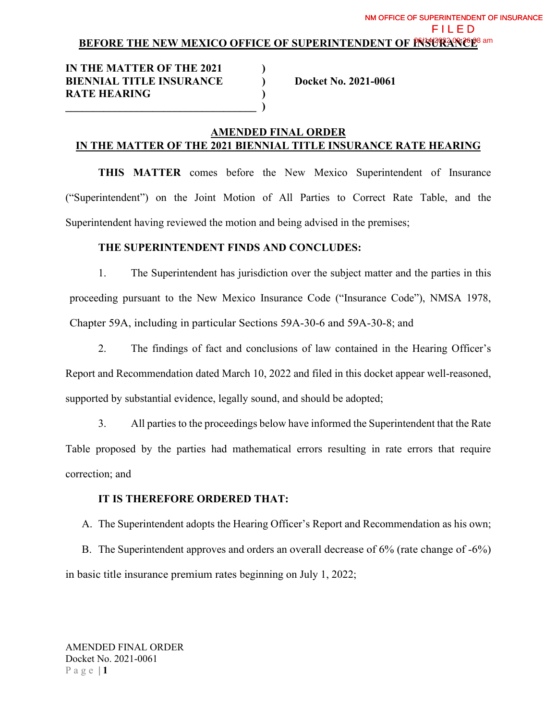#### **IN THE MATTER OF THE 2021 ) BIENNIAL TITLE INSURANCE ) Docket No. 2021-0061 RATE HEARING )**

**\_\_\_\_\_\_\_\_\_\_\_\_\_\_\_\_\_\_\_\_\_\_\_\_\_\_\_\_\_\_\_\_\_\_\_ )**

#### **AMENDED FINAL ORDER IN THE MATTER OF THE 2021 BIENNIAL TITLE INSURANCE RATE HEARING**

**THIS MATTER** comes before the New Mexico Superintendent of Insurance ("Superintendent") on the Joint Motion of All Parties to Correct Rate Table, and the Superintendent having reviewed the motion and being advised in the premises;

#### **THE SUPERINTENDENT FINDS AND CONCLUDES:**

1. The Superintendent has jurisdiction over the subject matter and the parties in this proceeding pursuant to the New Mexico Insurance Code ("Insurance Code"), NMSA 1978, Chapter 59A, including in particular Sections 59A-30-6 and 59A-30-8; and

2. The findings of fact and conclusions of law contained in the Hearing Officer's Report and Recommendation dated March 10, 2022 and filed in this docket appear well-reasoned, supported by substantial evidence, legally sound, and should be adopted;

3. All parties to the proceedings below have informed the Superintendent that the Rate Table proposed by the parties had mathematical errors resulting in rate errors that require correction; and

#### **IT IS THEREFORE ORDERED THAT:**

A. The Superintendent adopts the Hearing Officer's Report and Recommendation as his own; B. The Superintendent approves and orders an overall decrease of 6% (rate change of -6%) in basic title insurance premium rates beginning on July 1, 2022;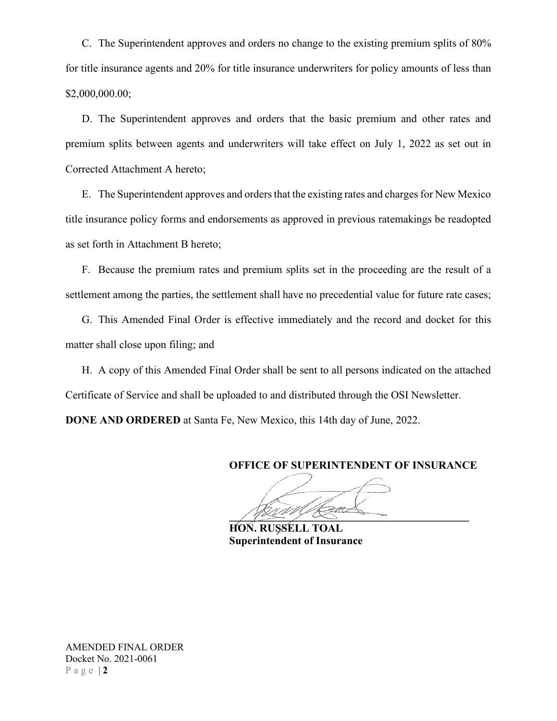C. The Superintendent approves and orders no change to the existing premium splits of 80% for title insurance agents and 20% for title insurance underwriters for policy amounts of less than \$2,000,000.00;

D. The Superintendent approves and orders that the basic premium and other rates and premium splits between agents and underwriters will take effect on July 1, 2022 as set out in Corrected Attachment A hereto;

E. The Superintendent approves and orders that the existing rates and charges for New Mexico title insurance policy forms and endorsements as approved in previous ratemakings be readopted as set forth in Attachment B hereto;

F. Because the premium rates and premium splits set in the proceeding are the result of a settlement among the parties, the settlement shall have no precedential value for future rate cases;

G. This Amended Final Order is effective immediately and the record and docket for this matter shall close upon filing; and

H. A copy of this Amended Final Order shall be sent to all persons indicated on the attached Certificate of Service and shall be uploaded to and distributed through the OSI Newsletter.

**DONE AND ORDERED** at Santa Fe, New Mexico, this 14th day of June, 2022.

**OFFICE OF SUPERINTENDENT OF INSURANCE**

 $\frac{1}{2}$ 

**HON. RUSSELL TOAL Superintendent of Insurance**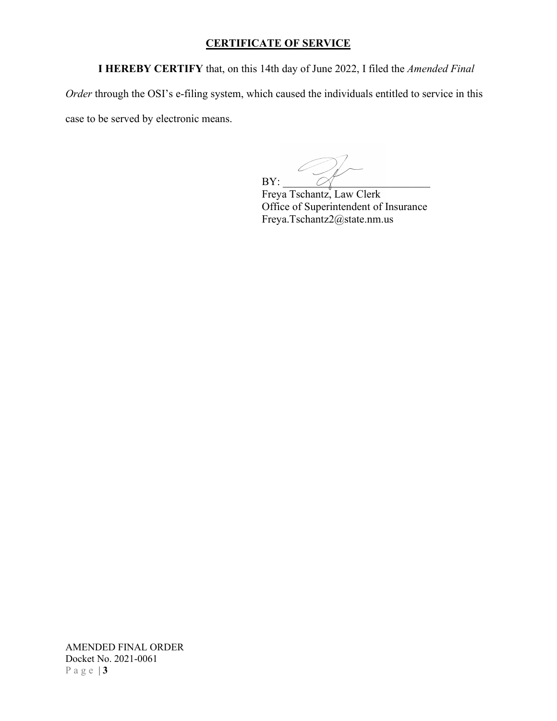#### **CERTIFICATE OF SERVICE**

**I HEREBY CERTIFY** that, on this 14th day of June 2022, I filed the *Amended Final* 

*Order* through the OSI's e-filing system, which caused the individuals entitled to service in this case to be served by electronic means.

Ò BY:  $\Box$ 

Freya Tschantz, Law Clerk Office of Superintendent of Insurance Freya.Tschantz2@state.nm.us

AMENDED FINAL ORDER Docket No. 2021-0061 Page | **3**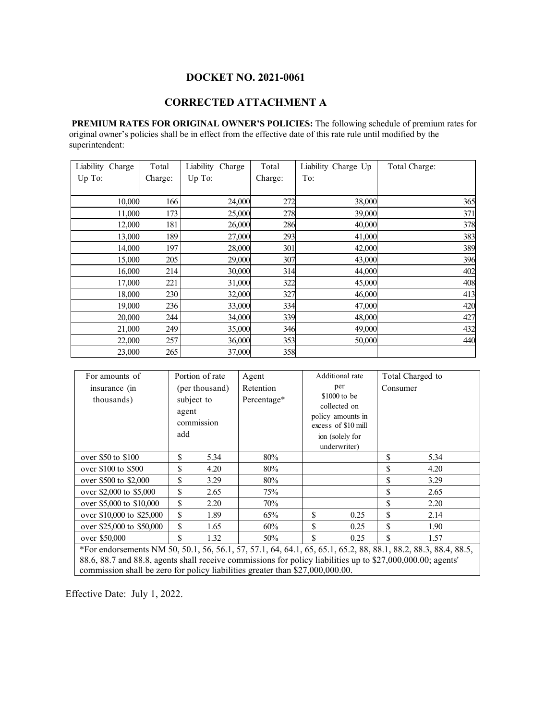#### **DOCKET NO. 2021-0061**

#### **CORRECTED ATTACHMENT A**

**PREMIUM RATES FOR ORIGINAL OWNER'S POLICIES:** The following schedule of premium rates for original owner's policies shall be in effect from the effective date of this rate rule until modified by the superintendent:

| Liability<br>Charge | Total   | Liability Charge | Total   | Liability Charge Up | Total Charge: |
|---------------------|---------|------------------|---------|---------------------|---------------|
| Up To:              | Charge: | Up To:           | Charge: | To:                 |               |
|                     |         |                  |         |                     |               |
| 10,000              | 166     | 24,000           | 272     | 38,000              | 365           |
| 11,000              | 173     | 25,000           | 278     | 39,000              | 371           |
| 12,000              | 181     | 26,000           | 286     | 40,000              | 378           |
| 13,000              | 189     | 27,000           | 293     | 41,000              | 383           |
| 14,000              | 197     | 28,000           | 301     | 42,000              | 389           |
| 15,000              | 205     | 29,000           | 307     | 43,000              | 396           |
| 16,000              | 214     | 30,000           | 314     | 44,000              | 402           |
| 17,000              | 221     | 31,000           | 322     | 45,000              | 408           |
| 18,000              | 230     | 32,000           | 327     | 46,000              | 413           |
| 19,000              | 236     | 33,000           | 334     | 47,000              | 420           |
| 20,000              | 244     | 34,000           | 339     | 48,000              | 427           |
| 21,000              | 249     | 35,000           | 346     | 49,000              | 432           |
| 22,000              | 257     | 36,000           | 353     | 50,000              | 440           |
| 23,000              | 265     | 37,000           | 358     |                     |               |

| For amounts of                                                                                                 | Portion of rate            |                              | Agent                    |                                                                                                                     | Additional rate |          | Total Charged to |  |
|----------------------------------------------------------------------------------------------------------------|----------------------------|------------------------------|--------------------------|---------------------------------------------------------------------------------------------------------------------|-----------------|----------|------------------|--|
| insurance (in<br>thousands)                                                                                    | subject to<br>agent<br>add | (per thousand)<br>commission | Retention<br>Percentage* | per<br>$$1000$ to be<br>collected on<br>policy amounts in<br>excess of \$10 mill<br>ion (solely for<br>underwriter) |                 | Consumer |                  |  |
| over $$50$ to $$100$                                                                                           | \$                         | 5.34                         | 80%                      |                                                                                                                     |                 | \$       | 5.34             |  |
| over $$100$ to $$500$                                                                                          | \$                         | 4.20                         | 80%                      |                                                                                                                     |                 | \$       | 4.20             |  |
| over \$500 to \$2,000                                                                                          | \$                         | 3.29                         | 80%                      |                                                                                                                     |                 | \$       | 3.29             |  |
| over \$2,000 to \$5,000                                                                                        | \$                         | 2.65                         | 75%                      |                                                                                                                     |                 | \$       | 2.65             |  |
| over \$5,000 to \$10,000                                                                                       | \$                         | 2.20                         | 70%                      |                                                                                                                     |                 | \$       | 2.20             |  |
| over \$10,000 to \$25,000                                                                                      | \$                         | 1.89                         | 65%                      | \$                                                                                                                  | 0.25            | \$       | 2.14             |  |
| over \$25,000 to \$50,000                                                                                      | \$                         | 1.65                         | 60%                      | \$                                                                                                                  | 0.25            | \$       | 1.90             |  |
| over \$50,000                                                                                                  | \$                         | 1.32                         | 50%                      | \$                                                                                                                  | 0.25            | \$       | 1.57             |  |
| *For endorsements NM 50, 50.1, 56, 56.1, 57, 57.1, 64, 64.1, 65, 65.1, 65.2, 88, 88.1, 88.2, 88.3, 88.4, 88.5, |                            |                              |                          |                                                                                                                     |                 |          |                  |  |
| 88.6, 88.7 and 88.8, agents shall receive commissions for policy liabilities up to \$27,000,000.00; agents'    |                            |                              |                          |                                                                                                                     |                 |          |                  |  |

commission shall be zero for policy liabilities greater than \$27,000,000.00.

Effective Date: July 1, 2022.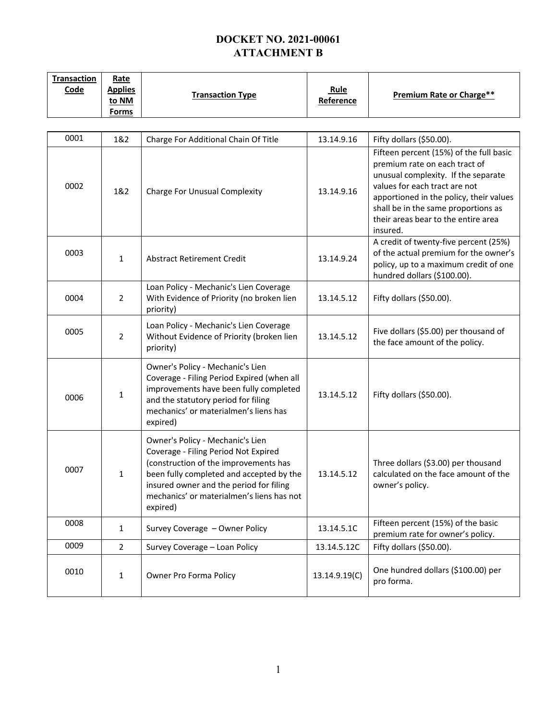| <b>Transaction</b><br>Code | Rate<br><b>Applies</b><br>to NM<br><b>Forms</b> | <b>Transaction Type</b>                                                                                                                                                                                                                                           | Rule<br>Reference | <b>Premium Rate or Charge**</b>                                                                                                                                                                                                                                                       |
|----------------------------|-------------------------------------------------|-------------------------------------------------------------------------------------------------------------------------------------------------------------------------------------------------------------------------------------------------------------------|-------------------|---------------------------------------------------------------------------------------------------------------------------------------------------------------------------------------------------------------------------------------------------------------------------------------|
|                            |                                                 |                                                                                                                                                                                                                                                                   |                   |                                                                                                                                                                                                                                                                                       |
| 0001                       | 1&2                                             | Charge For Additional Chain Of Title                                                                                                                                                                                                                              | 13.14.9.16        | Fifty dollars (\$50.00).                                                                                                                                                                                                                                                              |
| 0002                       | 1&2                                             | <b>Charge For Unusual Complexity</b>                                                                                                                                                                                                                              | 13.14.9.16        | Fifteen percent (15%) of the full basic<br>premium rate on each tract of<br>unusual complexity. If the separate<br>values for each tract are not<br>apportioned in the policy, their values<br>shall be in the same proportions as<br>their areas bear to the entire area<br>insured. |
| 0003                       | $\mathbf{1}$                                    | <b>Abstract Retirement Credit</b>                                                                                                                                                                                                                                 | 13.14.9.24        | A credit of twenty-five percent (25%)<br>of the actual premium for the owner's<br>policy, up to a maximum credit of one<br>hundred dollars (\$100.00).                                                                                                                                |
| 0004                       | $\overline{2}$                                  | Loan Policy - Mechanic's Lien Coverage<br>With Evidence of Priority (no broken lien<br>priority)                                                                                                                                                                  | 13.14.5.12        | Fifty dollars (\$50.00).                                                                                                                                                                                                                                                              |
| 0005                       | $\overline{2}$                                  | Loan Policy - Mechanic's Lien Coverage<br>Without Evidence of Priority (broken lien<br>priority)                                                                                                                                                                  | 13.14.5.12        | Five dollars (\$5.00) per thousand of<br>the face amount of the policy.                                                                                                                                                                                                               |
| 0006                       | 1                                               | Owner's Policy - Mechanic's Lien<br>Coverage - Filing Period Expired (when all<br>improvements have been fully completed<br>and the statutory period for filing<br>mechanics' or materialmen's liens has<br>expired)                                              | 13.14.5.12        | Fifty dollars (\$50.00).                                                                                                                                                                                                                                                              |
| 0007                       | 1                                               | Owner's Policy - Mechanic's Lien<br>Coverage - Filing Period Not Expired<br>(construction of the improvements has<br>been fully completed and accepted by the<br>insured owner and the period for filing<br>mechanics' or materialmen's liens has not<br>expired) | 13.14.5.12        | Three dollars (\$3.00) per thousand<br>calculated on the face amount of the<br>owner's policy.                                                                                                                                                                                        |
| 0008                       | $\mathbf{1}$                                    | Survey Coverage - Owner Policy                                                                                                                                                                                                                                    | 13.14.5.1C        | Fifteen percent (15%) of the basic<br>premium rate for owner's policy.                                                                                                                                                                                                                |
| 0009                       | $\overline{2}$                                  | Survey Coverage - Loan Policy                                                                                                                                                                                                                                     | 13.14.5.12C       | Fifty dollars (\$50.00).                                                                                                                                                                                                                                                              |
| 0010                       | $\mathbf{1}$                                    | Owner Pro Forma Policy                                                                                                                                                                                                                                            | 13.14.9.19(C)     | One hundred dollars (\$100.00) per<br>pro forma.                                                                                                                                                                                                                                      |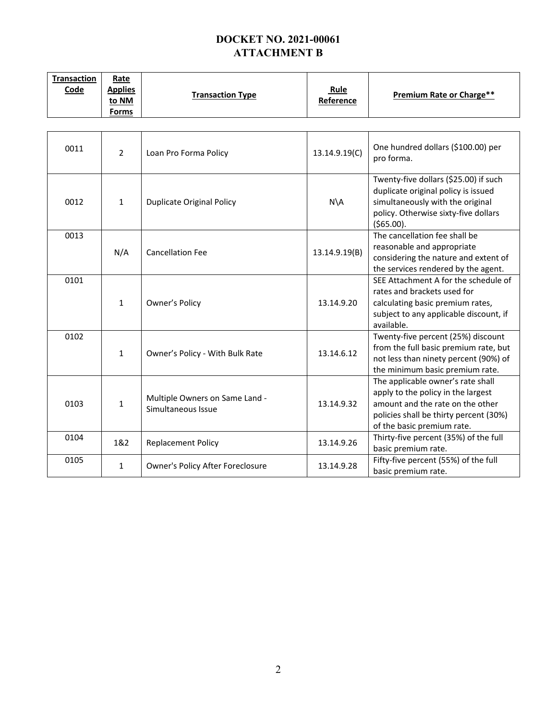| <b>Transaction</b><br>Code | Rate<br><b>Applies</b><br>to NM<br><b>Forms</b> | <b>Transaction Type</b>                              | Rule<br>Reference | Premium Rate or Charge**                                                                                                                                                            |
|----------------------------|-------------------------------------------------|------------------------------------------------------|-------------------|-------------------------------------------------------------------------------------------------------------------------------------------------------------------------------------|
|                            |                                                 |                                                      |                   |                                                                                                                                                                                     |
| 0011                       | $\overline{2}$                                  | Loan Pro Forma Policy                                | 13.14.9.19(C)     | One hundred dollars (\$100.00) per<br>pro forma.                                                                                                                                    |
| 0012                       | $\mathbf{1}$                                    | <b>Duplicate Original Policy</b>                     | $N\setminus A$    | Twenty-five dollars (\$25.00) if such<br>duplicate original policy is issued<br>simultaneously with the original<br>policy. Otherwise sixty-five dollars<br>( \$65.00).             |
| 0013                       | N/A                                             | <b>Cancellation Fee</b>                              | 13.14.9.19(B)     | The cancellation fee shall be<br>reasonable and appropriate<br>considering the nature and extent of<br>the services rendered by the agent.                                          |
| 0101                       | $\mathbf{1}$                                    | Owner's Policy                                       | 13.14.9.20        | SEE Attachment A for the schedule of<br>rates and brackets used for<br>calculating basic premium rates,<br>subject to any applicable discount, if<br>available.                     |
| 0102                       | $\mathbf{1}$                                    | Owner's Policy - With Bulk Rate                      | 13.14.6.12        | Twenty-five percent (25%) discount<br>from the full basic premium rate, but<br>not less than ninety percent (90%) of<br>the minimum basic premium rate.                             |
| 0103                       | $\mathbf{1}$                                    | Multiple Owners on Same Land -<br>Simultaneous Issue | 13.14.9.32        | The applicable owner's rate shall<br>apply to the policy in the largest<br>amount and the rate on the other<br>policies shall be thirty percent (30%)<br>of the basic premium rate. |
| 0104                       | 1&2                                             | <b>Replacement Policy</b>                            | 13.14.9.26        | Thirty-five percent (35%) of the full<br>basic premium rate.                                                                                                                        |
| 0105                       | $\mathbf{1}$                                    | Owner's Policy After Foreclosure                     | 13.14.9.28        | Fifty-five percent (55%) of the full<br>basic premium rate.                                                                                                                         |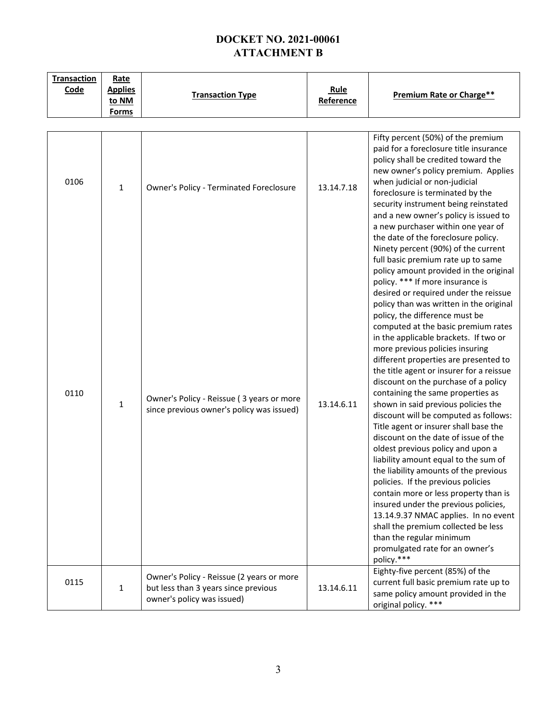| <b>Transaction</b><br>Code | Rate<br><b>Applies</b><br>to NM<br><b>Forms</b> | <b>Transaction Type</b>                                                                                         | Rule<br>Reference | <b>Premium Rate or Charge**</b>                                                                                                                                                                                                                                                                                                                                                                                                                                                                                                                                                                                                                                                                                                                                                                                                                                                                                                                                                                                                                                                                                                              |
|----------------------------|-------------------------------------------------|-----------------------------------------------------------------------------------------------------------------|-------------------|----------------------------------------------------------------------------------------------------------------------------------------------------------------------------------------------------------------------------------------------------------------------------------------------------------------------------------------------------------------------------------------------------------------------------------------------------------------------------------------------------------------------------------------------------------------------------------------------------------------------------------------------------------------------------------------------------------------------------------------------------------------------------------------------------------------------------------------------------------------------------------------------------------------------------------------------------------------------------------------------------------------------------------------------------------------------------------------------------------------------------------------------|
|                            |                                                 |                                                                                                                 |                   |                                                                                                                                                                                                                                                                                                                                                                                                                                                                                                                                                                                                                                                                                                                                                                                                                                                                                                                                                                                                                                                                                                                                              |
| 0106                       | $\mathbf 1$                                     | Owner's Policy - Terminated Foreclosure                                                                         | 13.14.7.18        | Fifty percent (50%) of the premium<br>paid for a foreclosure title insurance<br>policy shall be credited toward the<br>new owner's policy premium. Applies<br>when judicial or non-judicial<br>foreclosure is terminated by the<br>security instrument being reinstated<br>and a new owner's policy is issued to<br>a new purchaser within one year of<br>the date of the foreclosure policy.                                                                                                                                                                                                                                                                                                                                                                                                                                                                                                                                                                                                                                                                                                                                                |
| 0110                       | $\mathbf{1}$                                    | Owner's Policy - Reissue (3 years or more<br>since previous owner's policy was issued)                          | 13.14.6.11        | Ninety percent (90%) of the current<br>full basic premium rate up to same<br>policy amount provided in the original<br>policy. *** If more insurance is<br>desired or required under the reissue<br>policy than was written in the original<br>policy, the difference must be<br>computed at the basic premium rates<br>in the applicable brackets. If two or<br>more previous policies insuring<br>different properties are presented to<br>the title agent or insurer for a reissue<br>discount on the purchase of a policy<br>containing the same properties as<br>shown in said previous policies the<br>discount will be computed as follows:<br>Title agent or insurer shall base the<br>discount on the date of issue of the<br>oldest previous policy and upon a<br>liability amount equal to the sum of<br>the liability amounts of the previous<br>policies. If the previous policies<br>contain more or less property than is<br>insured under the previous policies,<br>13.14.9.37 NMAC applies. In no event<br>shall the premium collected be less<br>than the regular minimum<br>promulgated rate for an owner's<br>policy.*** |
| 0115                       | $\mathbf{1}$                                    | Owner's Policy - Reissue (2 years or more<br>but less than 3 years since previous<br>owner's policy was issued) | 13.14.6.11        | Eighty-five percent (85%) of the<br>current full basic premium rate up to<br>same policy amount provided in the<br>original policy. ***                                                                                                                                                                                                                                                                                                                                                                                                                                                                                                                                                                                                                                                                                                                                                                                                                                                                                                                                                                                                      |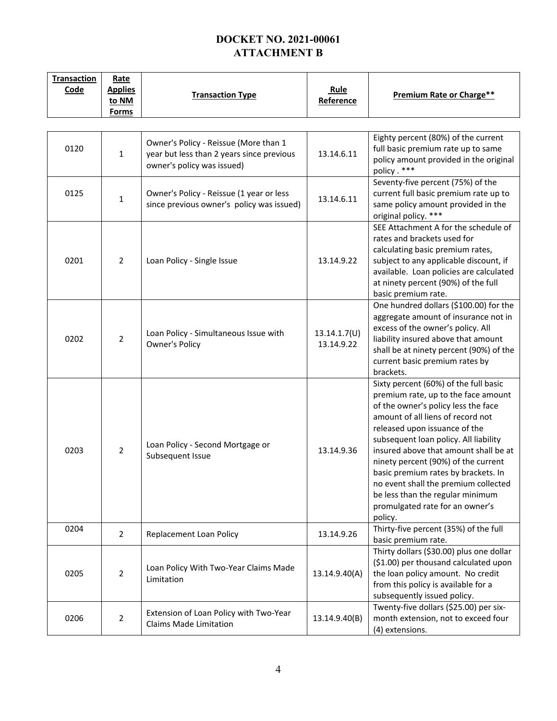| <b>Transaction</b><br>Code | Rate<br><b>Applies</b><br>to NM<br><b>Forms</b> | <b>Transaction Type</b>                                                                                          | Rule<br>Reference          | <b>Premium Rate or Charge**</b>                                                                                                                                                                                                                                                                                                                                                                                                                                                     |
|----------------------------|-------------------------------------------------|------------------------------------------------------------------------------------------------------------------|----------------------------|-------------------------------------------------------------------------------------------------------------------------------------------------------------------------------------------------------------------------------------------------------------------------------------------------------------------------------------------------------------------------------------------------------------------------------------------------------------------------------------|
|                            |                                                 |                                                                                                                  |                            |                                                                                                                                                                                                                                                                                                                                                                                                                                                                                     |
| 0120                       | $\mathbf{1}$                                    | Owner's Policy - Reissue (More than 1<br>year but less than 2 years since previous<br>owner's policy was issued) | 13.14.6.11                 | Eighty percent (80%) of the current<br>full basic premium rate up to same<br>policy amount provided in the original<br>policy. ***                                                                                                                                                                                                                                                                                                                                                  |
| 0125                       | $\mathbf{1}$                                    | Owner's Policy - Reissue (1 year or less<br>since previous owner's policy was issued)                            | 13.14.6.11                 | Seventy-five percent (75%) of the<br>current full basic premium rate up to<br>same policy amount provided in the<br>original policy. ***                                                                                                                                                                                                                                                                                                                                            |
| 0201                       | $\overline{2}$                                  | Loan Policy - Single Issue                                                                                       | 13.14.9.22                 | SEE Attachment A for the schedule of<br>rates and brackets used for<br>calculating basic premium rates,<br>subject to any applicable discount, if<br>available. Loan policies are calculated<br>at ninety percent (90%) of the full<br>basic premium rate.                                                                                                                                                                                                                          |
| 0202                       | $\overline{2}$                                  | Loan Policy - Simultaneous Issue with<br>Owner's Policy                                                          | 13.14.1.7(U)<br>13.14.9.22 | One hundred dollars (\$100.00) for the<br>aggregate amount of insurance not in<br>excess of the owner's policy. All<br>liability insured above that amount<br>shall be at ninety percent (90%) of the<br>current basic premium rates by<br>brackets.                                                                                                                                                                                                                                |
| 0203                       | $\overline{2}$                                  | Loan Policy - Second Mortgage or<br>Subsequent Issue                                                             | 13.14.9.36                 | Sixty percent (60%) of the full basic<br>premium rate, up to the face amount<br>of the owner's policy less the face<br>amount of all liens of record not<br>released upon issuance of the<br>subsequent loan policy. All liability<br>insured above that amount shall be at<br>ninety percent (90%) of the current<br>basic premium rates by brackets. In<br>no event shall the premium collected<br>be less than the regular minimum<br>promulgated rate for an owner's<br>policy. |
| 0204                       | $\overline{2}$                                  | <b>Replacement Loan Policy</b>                                                                                   | 13.14.9.26                 | Thirty-five percent (35%) of the full<br>basic premium rate.                                                                                                                                                                                                                                                                                                                                                                                                                        |
| 0205                       | $\overline{2}$                                  | Loan Policy With Two-Year Claims Made<br>Limitation                                                              | 13.14.9.40(A)              | Thirty dollars (\$30.00) plus one dollar<br>(\$1.00) per thousand calculated upon<br>the loan policy amount. No credit<br>from this policy is available for a<br>subsequently issued policy.                                                                                                                                                                                                                                                                                        |
| 0206                       | $\overline{2}$                                  | Extension of Loan Policy with Two-Year<br><b>Claims Made Limitation</b>                                          | 13.14.9.40(B)              | Twenty-five dollars (\$25.00) per six-<br>month extension, not to exceed four<br>(4) extensions.                                                                                                                                                                                                                                                                                                                                                                                    |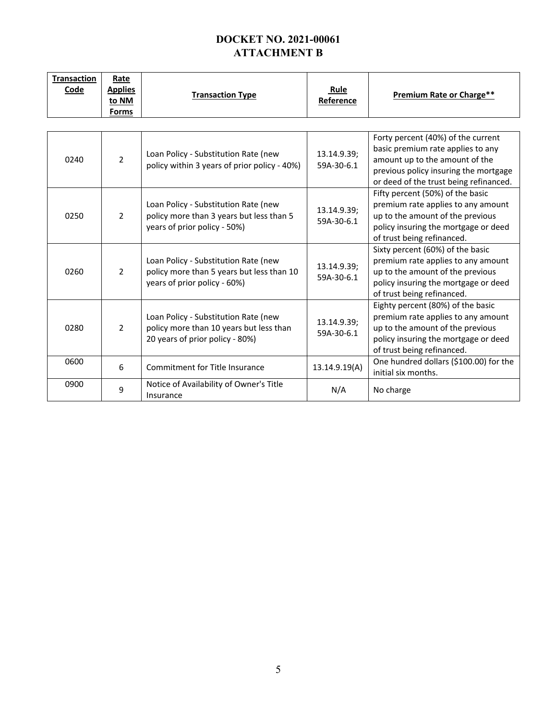| <b>Transaction</b><br>Code | Rate<br><b>Applies</b><br>to NM<br><b>Forms</b> | <b>Transaction Type</b>                                                                                            | Rule<br>Reference         | <b>Premium Rate or Charge**</b>                                                                                                                                                              |
|----------------------------|-------------------------------------------------|--------------------------------------------------------------------------------------------------------------------|---------------------------|----------------------------------------------------------------------------------------------------------------------------------------------------------------------------------------------|
|                            |                                                 |                                                                                                                    |                           |                                                                                                                                                                                              |
| 0240                       | $\overline{2}$                                  | Loan Policy - Substitution Rate (new<br>policy within 3 years of prior policy - 40%)                               | 13.14.9.39;<br>59A-30-6.1 | Forty percent (40%) of the current<br>basic premium rate applies to any<br>amount up to the amount of the<br>previous policy insuring the mortgage<br>or deed of the trust being refinanced. |
| 0250                       | $\overline{2}$                                  | Loan Policy - Substitution Rate (new<br>policy more than 3 years but less than 5<br>years of prior policy - 50%)   | 13.14.9.39;<br>59A-30-6.1 | Fifty percent (50%) of the basic<br>premium rate applies to any amount<br>up to the amount of the previous<br>policy insuring the mortgage or deed<br>of trust being refinanced.             |
| 0260                       | $\overline{2}$                                  | Loan Policy - Substitution Rate (new<br>policy more than 5 years but less than 10<br>years of prior policy - 60%)  | 13.14.9.39;<br>59A-30-6.1 | Sixty percent (60%) of the basic<br>premium rate applies to any amount<br>up to the amount of the previous<br>policy insuring the mortgage or deed<br>of trust being refinanced.             |
| 0280                       | 2                                               | Loan Policy - Substitution Rate (new<br>policy more than 10 years but less than<br>20 years of prior policy - 80%) | 13.14.9.39;<br>59A-30-6.1 | Eighty percent (80%) of the basic<br>premium rate applies to any amount<br>up to the amount of the previous<br>policy insuring the mortgage or deed<br>of trust being refinanced.            |
| 0600                       | 6                                               | Commitment for Title Insurance                                                                                     | 13.14.9.19(A)             | One hundred dollars (\$100.00) for the<br>initial six months.                                                                                                                                |
| 0900                       | 9                                               | Notice of Availability of Owner's Title<br>Insurance                                                               | N/A                       | No charge                                                                                                                                                                                    |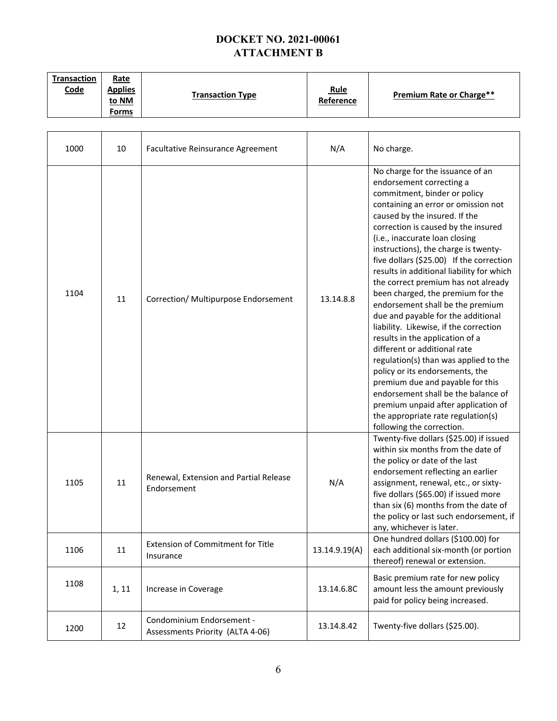| <b>Transaction</b><br>Code | Rate<br><b>Applies</b><br>to NM<br><b>Forms</b> | <b>Transaction Type</b>                                       | Rule<br>Reference | <b>Premium Rate or Charge**</b>                                                                                                                                                                                                                                                                                                                                                                                                                                                                                                                                                                                                                                                                                                                                                                                                                                                                                    |
|----------------------------|-------------------------------------------------|---------------------------------------------------------------|-------------------|--------------------------------------------------------------------------------------------------------------------------------------------------------------------------------------------------------------------------------------------------------------------------------------------------------------------------------------------------------------------------------------------------------------------------------------------------------------------------------------------------------------------------------------------------------------------------------------------------------------------------------------------------------------------------------------------------------------------------------------------------------------------------------------------------------------------------------------------------------------------------------------------------------------------|
|                            |                                                 |                                                               |                   |                                                                                                                                                                                                                                                                                                                                                                                                                                                                                                                                                                                                                                                                                                                                                                                                                                                                                                                    |
| 1000                       | 10                                              | Facultative Reinsurance Agreement                             | N/A               | No charge.                                                                                                                                                                                                                                                                                                                                                                                                                                                                                                                                                                                                                                                                                                                                                                                                                                                                                                         |
| 1104                       | 11                                              | Correction/ Multipurpose Endorsement                          | 13.14.8.8         | No charge for the issuance of an<br>endorsement correcting a<br>commitment, binder or policy<br>containing an error or omission not<br>caused by the insured. If the<br>correction is caused by the insured<br>(i.e., inaccurate loan closing<br>instructions), the charge is twenty-<br>five dollars (\$25.00) If the correction<br>results in additional liability for which<br>the correct premium has not already<br>been charged, the premium for the<br>endorsement shall be the premium<br>due and payable for the additional<br>liability. Likewise, if the correction<br>results in the application of a<br>different or additional rate<br>regulation(s) than was applied to the<br>policy or its endorsements, the<br>premium due and payable for this<br>endorsement shall be the balance of<br>premium unpaid after application of<br>the appropriate rate regulation(s)<br>following the correction. |
| 1105                       | 11                                              | Renewal, Extension and Partial Release<br>Endorsement         | N/A               | Twenty-five dollars (\$25.00) if issued<br>within six months from the date of<br>the policy or date of the last<br>endorsement reflecting an earlier<br>assignment, renewal, etc., or sixty-<br>five dollars (\$65.00) if issued more<br>than six (6) months from the date of<br>the policy or last such endorsement, if<br>any, whichever is later.                                                                                                                                                                                                                                                                                                                                                                                                                                                                                                                                                               |
| 1106                       | 11                                              | <b>Extension of Commitment for Title</b><br>Insurance         | 13.14.9.19(A)     | One hundred dollars (\$100.00) for<br>each additional six-month (or portion<br>thereof) renewal or extension.                                                                                                                                                                                                                                                                                                                                                                                                                                                                                                                                                                                                                                                                                                                                                                                                      |
| 1108                       | 1, 11                                           | Increase in Coverage                                          | 13.14.6.8C        | Basic premium rate for new policy<br>amount less the amount previously<br>paid for policy being increased.                                                                                                                                                                                                                                                                                                                                                                                                                                                                                                                                                                                                                                                                                                                                                                                                         |
| 1200                       | 12                                              | Condominium Endorsement -<br>Assessments Priority (ALTA 4-06) | 13.14.8.42        | Twenty-five dollars (\$25.00).                                                                                                                                                                                                                                                                                                                                                                                                                                                                                                                                                                                                                                                                                                                                                                                                                                                                                     |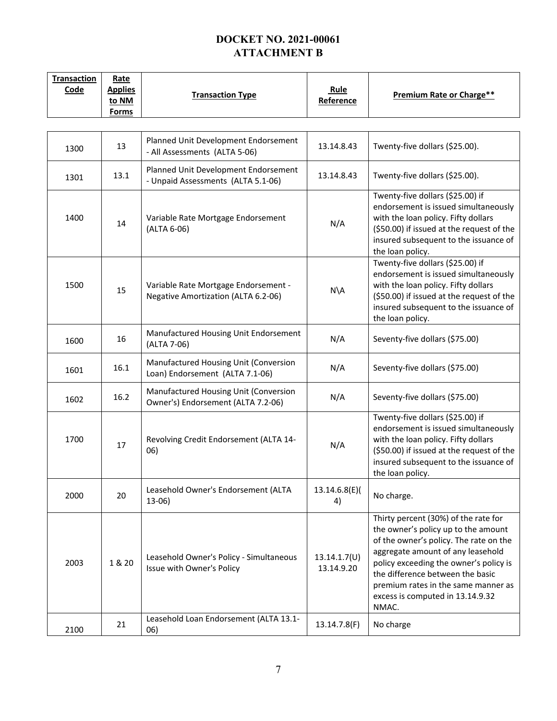| <b>Transaction</b><br>Code | Rate<br><b>Applies</b><br>to NM<br><b>Forms</b> | <b>Transaction Type</b>                                                     | Rule<br>Reference          | <b>Premium Rate or Charge**</b>                                                                                                                                                                                                                                                                                              |
|----------------------------|-------------------------------------------------|-----------------------------------------------------------------------------|----------------------------|------------------------------------------------------------------------------------------------------------------------------------------------------------------------------------------------------------------------------------------------------------------------------------------------------------------------------|
|                            |                                                 |                                                                             |                            |                                                                                                                                                                                                                                                                                                                              |
| 1300                       | 13                                              | Planned Unit Development Endorsement<br>- All Assessments (ALTA 5-06)       | 13.14.8.43                 | Twenty-five dollars (\$25.00).                                                                                                                                                                                                                                                                                               |
| 1301                       | 13.1                                            | Planned Unit Development Endorsement<br>- Unpaid Assessments (ALTA 5.1-06)  | 13.14.8.43                 | Twenty-five dollars (\$25.00).                                                                                                                                                                                                                                                                                               |
| 1400                       | 14                                              | Variable Rate Mortgage Endorsement<br>(ALTA 6-06)                           | N/A                        | Twenty-five dollars (\$25.00) if<br>endorsement is issued simultaneously<br>with the loan policy. Fifty dollars<br>(\$50.00) if issued at the request of the<br>insured subsequent to the issuance of<br>the loan policy.                                                                                                    |
| 1500                       | 15                                              | Variable Rate Mortgage Endorsement -<br>Negative Amortization (ALTA 6.2-06) | $N\setminus A$             | Twenty-five dollars (\$25.00) if<br>endorsement is issued simultaneously<br>with the loan policy. Fifty dollars<br>(\$50.00) if issued at the request of the<br>insured subsequent to the issuance of<br>the loan policy.                                                                                                    |
| 1600                       | 16                                              | Manufactured Housing Unit Endorsement<br>(ALTA 7-06)                        | N/A                        | Seventy-five dollars (\$75.00)                                                                                                                                                                                                                                                                                               |
| 1601                       | 16.1                                            | Manufactured Housing Unit (Conversion<br>Loan) Endorsement (ALTA 7.1-06)    | N/A                        | Seventy-five dollars (\$75.00)                                                                                                                                                                                                                                                                                               |
| 1602                       | 16.2                                            | Manufactured Housing Unit (Conversion<br>Owner's) Endorsement (ALTA 7.2-06) | N/A                        | Seventy-five dollars (\$75.00)                                                                                                                                                                                                                                                                                               |
| 1700                       | 17                                              | Revolving Credit Endorsement (ALTA 14-<br>06)                               | N/A                        | Twenty-five dollars (\$25.00) if<br>endorsement is issued simultaneously<br>with the loan policy. Fifty dollars<br>(\$50.00) if issued at the request of the<br>insured subsequent to the issuance of<br>the loan policy.                                                                                                    |
| 2000                       | 20                                              | Leasehold Owner's Endorsement (ALTA<br>$13-06)$                             | 13.14.6.8(E)(<br>4)        | No charge.                                                                                                                                                                                                                                                                                                                   |
| 2003                       | 1 & 20                                          | Leasehold Owner's Policy - Simultaneous<br>Issue with Owner's Policy        | 13.14.1.7(U)<br>13.14.9.20 | Thirty percent (30%) of the rate for<br>the owner's policy up to the amount<br>of the owner's policy. The rate on the<br>aggregate amount of any leasehold<br>policy exceeding the owner's policy is<br>the difference between the basic<br>premium rates in the same manner as<br>excess is computed in 13.14.9.32<br>NMAC. |
| 2100                       | 21                                              | Leasehold Loan Endorsement (ALTA 13.1-<br>06)                               | 13.14.7.8(F)               | No charge                                                                                                                                                                                                                                                                                                                    |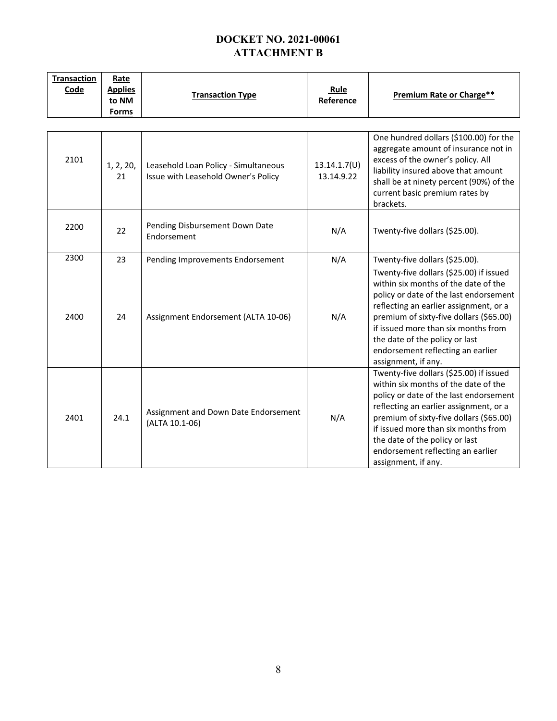| <b>Transaction</b><br>Code | Rate<br><b>Applies</b><br>to NM<br>Forms | <b>Transaction Type</b>                                                     | Rule<br>Reference          | Premium Rate or Charge**                                                                                                                                                                                                                                                                                                                            |
|----------------------------|------------------------------------------|-----------------------------------------------------------------------------|----------------------------|-----------------------------------------------------------------------------------------------------------------------------------------------------------------------------------------------------------------------------------------------------------------------------------------------------------------------------------------------------|
|                            |                                          |                                                                             |                            |                                                                                                                                                                                                                                                                                                                                                     |
| 2101                       | 1, 2, 20,<br>21                          | Leasehold Loan Policy - Simultaneous<br>Issue with Leasehold Owner's Policy | 13.14.1.7(U)<br>13.14.9.22 | One hundred dollars (\$100.00) for the<br>aggregate amount of insurance not in<br>excess of the owner's policy. All<br>liability insured above that amount<br>shall be at ninety percent (90%) of the<br>current basic premium rates by<br>brackets.                                                                                                |
| 2200                       | 22                                       | Pending Disbursement Down Date<br>Endorsement                               | N/A                        | Twenty-five dollars (\$25.00).                                                                                                                                                                                                                                                                                                                      |
| 2300                       | 23                                       | Pending Improvements Endorsement                                            | N/A                        | Twenty-five dollars (\$25.00).                                                                                                                                                                                                                                                                                                                      |
| 2400                       | 24                                       | Assignment Endorsement (ALTA 10-06)                                         | N/A                        | Twenty-five dollars (\$25.00) if issued<br>within six months of the date of the<br>policy or date of the last endorsement<br>reflecting an earlier assignment, or a<br>premium of sixty-five dollars (\$65.00)<br>if issued more than six months from<br>the date of the policy or last<br>endorsement reflecting an earlier<br>assignment, if any. |
| 2401                       | 24.1                                     | Assignment and Down Date Endorsement<br>(ALTA 10.1-06)                      | N/A                        | Twenty-five dollars (\$25.00) if issued<br>within six months of the date of the<br>policy or date of the last endorsement<br>reflecting an earlier assignment, or a<br>premium of sixty-five dollars (\$65.00)<br>if issued more than six months from<br>the date of the policy or last<br>endorsement reflecting an earlier<br>assignment, if any. |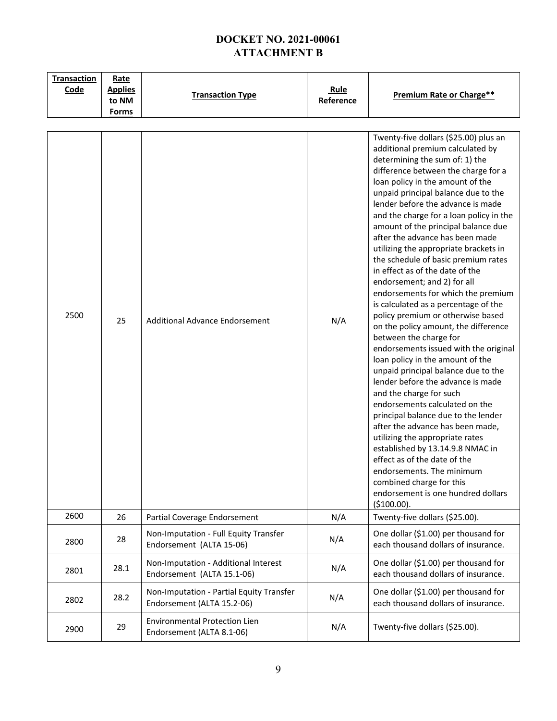| <b>Transaction</b><br>Code | Rate<br><b>Applies</b><br>to NM<br><b>Forms</b> | <b>Transaction Type</b>                                                | Rule<br>Reference | <b>Premium Rate or Charge**</b>                                                                                                                                                                                                                                                                                                                                                                                                                                                                                                                                                                                                                                                                                                                                                                                                                                                                                                                                                                                                                                                                                                                                                                                                                      |
|----------------------------|-------------------------------------------------|------------------------------------------------------------------------|-------------------|------------------------------------------------------------------------------------------------------------------------------------------------------------------------------------------------------------------------------------------------------------------------------------------------------------------------------------------------------------------------------------------------------------------------------------------------------------------------------------------------------------------------------------------------------------------------------------------------------------------------------------------------------------------------------------------------------------------------------------------------------------------------------------------------------------------------------------------------------------------------------------------------------------------------------------------------------------------------------------------------------------------------------------------------------------------------------------------------------------------------------------------------------------------------------------------------------------------------------------------------------|
|                            |                                                 |                                                                        |                   |                                                                                                                                                                                                                                                                                                                                                                                                                                                                                                                                                                                                                                                                                                                                                                                                                                                                                                                                                                                                                                                                                                                                                                                                                                                      |
| 2500                       | 25                                              | <b>Additional Advance Endorsement</b>                                  | N/A               | Twenty-five dollars (\$25.00) plus an<br>additional premium calculated by<br>determining the sum of: 1) the<br>difference between the charge for a<br>loan policy in the amount of the<br>unpaid principal balance due to the<br>lender before the advance is made<br>and the charge for a loan policy in the<br>amount of the principal balance due<br>after the advance has been made<br>utilizing the appropriate brackets in<br>the schedule of basic premium rates<br>in effect as of the date of the<br>endorsement; and 2) for all<br>endorsements for which the premium<br>is calculated as a percentage of the<br>policy premium or otherwise based<br>on the policy amount, the difference<br>between the charge for<br>endorsements issued with the original<br>loan policy in the amount of the<br>unpaid principal balance due to the<br>lender before the advance is made<br>and the charge for such<br>endorsements calculated on the<br>principal balance due to the lender<br>after the advance has been made,<br>utilizing the appropriate rates<br>established by 13.14.9.8 NMAC in<br>effect as of the date of the<br>endorsements. The minimum<br>combined charge for this<br>endorsement is one hundred dollars<br>(\$100.00). |
| 2600                       | 26                                              | Partial Coverage Endorsement                                           | N/A               | Twenty-five dollars (\$25.00).                                                                                                                                                                                                                                                                                                                                                                                                                                                                                                                                                                                                                                                                                                                                                                                                                                                                                                                                                                                                                                                                                                                                                                                                                       |
| 2800                       | 28                                              | Non-Imputation - Full Equity Transfer<br>Endorsement (ALTA 15-06)      | N/A               | One dollar (\$1.00) per thousand for<br>each thousand dollars of insurance.                                                                                                                                                                                                                                                                                                                                                                                                                                                                                                                                                                                                                                                                                                                                                                                                                                                                                                                                                                                                                                                                                                                                                                          |
| 2801                       | 28.1                                            | Non-Imputation - Additional Interest<br>Endorsement (ALTA 15.1-06)     | N/A               | One dollar (\$1.00) per thousand for<br>each thousand dollars of insurance.                                                                                                                                                                                                                                                                                                                                                                                                                                                                                                                                                                                                                                                                                                                                                                                                                                                                                                                                                                                                                                                                                                                                                                          |
| 2802                       | 28.2                                            | Non-Imputation - Partial Equity Transfer<br>Endorsement (ALTA 15.2-06) | N/A               | One dollar (\$1.00) per thousand for<br>each thousand dollars of insurance.                                                                                                                                                                                                                                                                                                                                                                                                                                                                                                                                                                                                                                                                                                                                                                                                                                                                                                                                                                                                                                                                                                                                                                          |
| 2900                       | 29                                              | <b>Environmental Protection Lien</b><br>Endorsement (ALTA 8.1-06)      | N/A               | Twenty-five dollars (\$25.00).                                                                                                                                                                                                                                                                                                                                                                                                                                                                                                                                                                                                                                                                                                                                                                                                                                                                                                                                                                                                                                                                                                                                                                                                                       |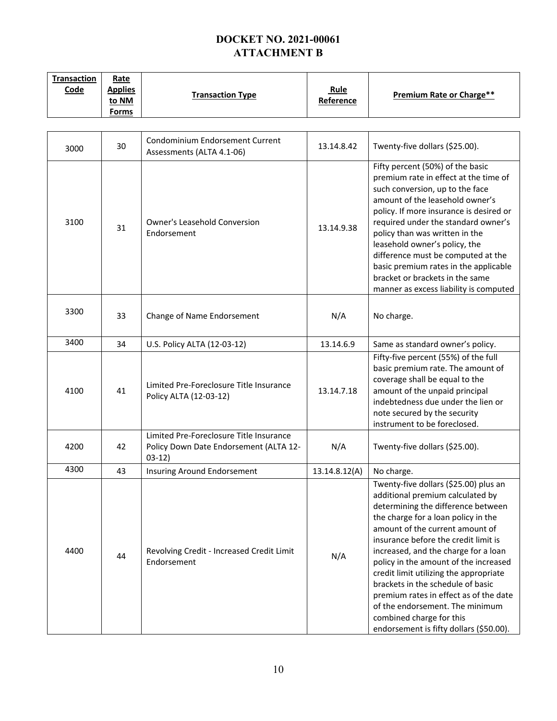| Transaction<br>Code | Rate<br><b>Applies</b><br>to NM<br><b>Forms</b> | <b>Transaction Type</b>                                                                       | Rule<br>Reference | Premium Rate or Charge**                                                                                                                                                                                                                                                                                                                                                                                                                                                                                                                              |
|---------------------|-------------------------------------------------|-----------------------------------------------------------------------------------------------|-------------------|-------------------------------------------------------------------------------------------------------------------------------------------------------------------------------------------------------------------------------------------------------------------------------------------------------------------------------------------------------------------------------------------------------------------------------------------------------------------------------------------------------------------------------------------------------|
|                     |                                                 |                                                                                               |                   |                                                                                                                                                                                                                                                                                                                                                                                                                                                                                                                                                       |
| 3000                | 30                                              | Condominium Endorsement Current<br>Assessments (ALTA 4.1-06)                                  | 13.14.8.42        | Twenty-five dollars (\$25.00).                                                                                                                                                                                                                                                                                                                                                                                                                                                                                                                        |
| 3100                | 31                                              | <b>Owner's Leasehold Conversion</b><br>Endorsement                                            | 13.14.9.38        | Fifty percent (50%) of the basic<br>premium rate in effect at the time of<br>such conversion, up to the face<br>amount of the leasehold owner's<br>policy. If more insurance is desired or<br>required under the standard owner's<br>policy than was written in the<br>leasehold owner's policy, the<br>difference must be computed at the<br>basic premium rates in the applicable<br>bracket or brackets in the same<br>manner as excess liability is computed                                                                                      |
| 3300                | 33                                              | Change of Name Endorsement                                                                    | N/A               | No charge.                                                                                                                                                                                                                                                                                                                                                                                                                                                                                                                                            |
| 3400                | 34                                              | U.S. Policy ALTA (12-03-12)                                                                   | 13.14.6.9         | Same as standard owner's policy.                                                                                                                                                                                                                                                                                                                                                                                                                                                                                                                      |
| 4100                | 41                                              | Limited Pre-Foreclosure Title Insurance<br>Policy ALTA (12-03-12)                             | 13.14.7.18        | Fifty-five percent (55%) of the full<br>basic premium rate. The amount of<br>coverage shall be equal to the<br>amount of the unpaid principal<br>indebtedness due under the lien or<br>note secured by the security<br>instrument to be foreclosed.                                                                                                                                                                                                                                                                                                   |
| 4200                | 42                                              | Limited Pre-Foreclosure Title Insurance<br>Policy Down Date Endorsement (ALTA 12-<br>$03-12)$ | N/A               | Twenty-five dollars (\$25.00).                                                                                                                                                                                                                                                                                                                                                                                                                                                                                                                        |
| 4300                | 43                                              | Insuring Around Endorsement                                                                   | 13.14.8.12(A)     | No charge.                                                                                                                                                                                                                                                                                                                                                                                                                                                                                                                                            |
| 4400                | 44                                              | Revolving Credit - Increased Credit Limit<br>Endorsement                                      | N/A               | Twenty-five dollars (\$25.00) plus an<br>additional premium calculated by<br>determining the difference between<br>the charge for a loan policy in the<br>amount of the current amount of<br>insurance before the credit limit is<br>increased, and the charge for a loan<br>policy in the amount of the increased<br>credit limit utilizing the appropriate<br>brackets in the schedule of basic<br>premium rates in effect as of the date<br>of the endorsement. The minimum<br>combined charge for this<br>endorsement is fifty dollars (\$50.00). |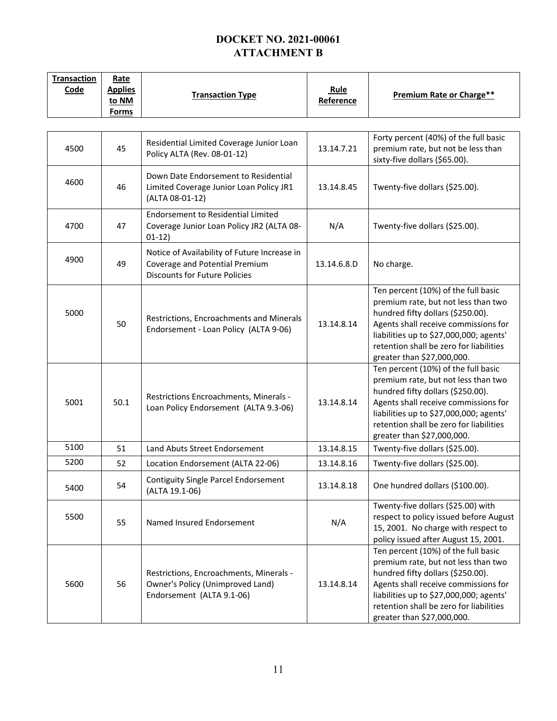| <b>Transaction</b><br>Code | Rate<br><b>Applies</b> |                                                                                                                        | Rule        |                                                                                                                                                                                                                                                                             |
|----------------------------|------------------------|------------------------------------------------------------------------------------------------------------------------|-------------|-----------------------------------------------------------------------------------------------------------------------------------------------------------------------------------------------------------------------------------------------------------------------------|
|                            | to NM<br><b>Forms</b>  | <b>Transaction Type</b>                                                                                                | Reference   | Premium Rate or Charge**                                                                                                                                                                                                                                                    |
|                            |                        |                                                                                                                        |             |                                                                                                                                                                                                                                                                             |
| 4500                       | 45                     | Residential Limited Coverage Junior Loan<br>Policy ALTA (Rev. 08-01-12)                                                | 13.14.7.21  | Forty percent (40%) of the full basic<br>premium rate, but not be less than<br>sixty-five dollars (\$65.00).                                                                                                                                                                |
| 4600                       | 46                     | Down Date Endorsement to Residential<br>Limited Coverage Junior Loan Policy JR1<br>(ALTA 08-01-12)                     | 13.14.8.45  | Twenty-five dollars (\$25.00).                                                                                                                                                                                                                                              |
| 4700                       | 47                     | Endorsement to Residential Limited<br>Coverage Junior Loan Policy JR2 (ALTA 08-<br>$01-12)$                            | N/A         | Twenty-five dollars (\$25.00).                                                                                                                                                                                                                                              |
| 4900                       | 49                     | Notice of Availability of Future Increase in<br>Coverage and Potential Premium<br><b>Discounts for Future Policies</b> | 13.14.6.8.D | No charge.                                                                                                                                                                                                                                                                  |
| 5000                       | 50                     | Restrictions, Encroachments and Minerals<br>Endorsement - Loan Policy (ALTA 9-06)                                      | 13.14.8.14  | Ten percent (10%) of the full basic<br>premium rate, but not less than two<br>hundred fifty dollars (\$250.00).<br>Agents shall receive commissions for<br>liabilities up to \$27,000,000; agents'<br>retention shall be zero for liabilities<br>greater than \$27,000,000. |
| 5001                       | 50.1                   | Restrictions Encroachments, Minerals -<br>Loan Policy Endorsement (ALTA 9.3-06)                                        | 13.14.8.14  | Ten percent (10%) of the full basic<br>premium rate, but not less than two<br>hundred fifty dollars (\$250.00).<br>Agents shall receive commissions for<br>liabilities up to \$27,000,000; agents'<br>retention shall be zero for liabilities<br>greater than \$27,000,000. |
| 5100                       | 51                     | Land Abuts Street Endorsement                                                                                          | 13.14.8.15  | Twenty-five dollars (\$25.00).                                                                                                                                                                                                                                              |
| 5200                       | 52                     | Location Endorsement (ALTA 22-06)                                                                                      | 13.14.8.16  | Twenty-five dollars (\$25.00).                                                                                                                                                                                                                                              |
| 5400                       | 54                     | <b>Contiguity Single Parcel Endorsement</b><br>(ALTA 19.1-06)                                                          | 13.14.8.18  | One hundred dollars (\$100.00).                                                                                                                                                                                                                                             |
| 5500                       | 55                     | Named Insured Endorsement                                                                                              | N/A         | Twenty-five dollars (\$25.00) with<br>respect to policy issued before August<br>15, 2001. No charge with respect to<br>policy issued after August 15, 2001.                                                                                                                 |
| 5600                       | 56                     | Restrictions, Encroachments, Minerals -<br>Owner's Policy (Unimproved Land)<br>Endorsement (ALTA 9.1-06)               | 13.14.8.14  | Ten percent (10%) of the full basic<br>premium rate, but not less than two<br>hundred fifty dollars (\$250.00).<br>Agents shall receive commissions for<br>liabilities up to \$27,000,000; agents'<br>retention shall be zero for liabilities<br>greater than \$27,000,000. |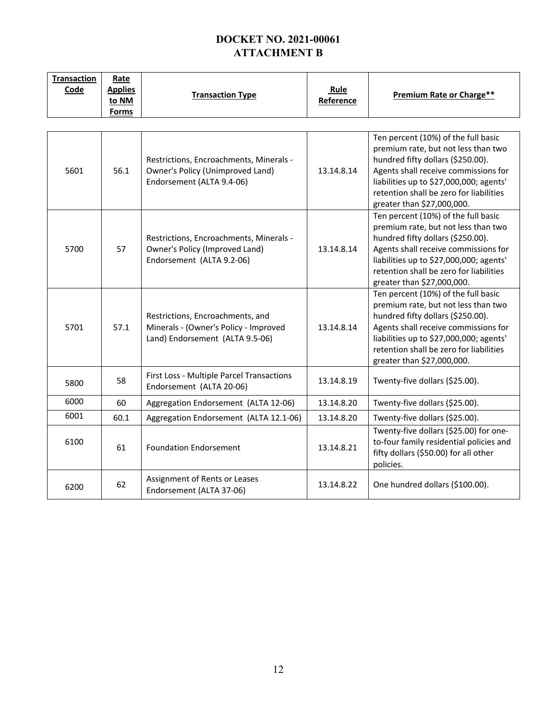| <b>Transaction</b><br>Code | Rate<br><b>Applies</b><br>to NM<br><b>Forms</b> | <b>Transaction Type</b>                                                                                      | Rule<br>Reference | Premium Rate or Charge**                                                                                                                                                                                                                                                    |
|----------------------------|-------------------------------------------------|--------------------------------------------------------------------------------------------------------------|-------------------|-----------------------------------------------------------------------------------------------------------------------------------------------------------------------------------------------------------------------------------------------------------------------------|
|                            |                                                 |                                                                                                              |                   |                                                                                                                                                                                                                                                                             |
| 5601                       | 56.1                                            | Restrictions, Encroachments, Minerals -<br>Owner's Policy (Unimproved Land)<br>Endorsement (ALTA 9.4-06)     | 13.14.8.14        | Ten percent (10%) of the full basic<br>premium rate, but not less than two<br>hundred fifty dollars (\$250.00).<br>Agents shall receive commissions for<br>liabilities up to \$27,000,000; agents'<br>retention shall be zero for liabilities<br>greater than \$27,000,000. |
| 5700                       | 57                                              | Restrictions, Encroachments, Minerals -<br>Owner's Policy (Improved Land)<br>Endorsement (ALTA 9.2-06)       | 13.14.8.14        | Ten percent (10%) of the full basic<br>premium rate, but not less than two<br>hundred fifty dollars (\$250.00).<br>Agents shall receive commissions for<br>liabilities up to \$27,000,000; agents'<br>retention shall be zero for liabilities<br>greater than \$27,000,000. |
| 5701                       | 57.1                                            | Restrictions, Encroachments, and<br>Minerals - (Owner's Policy - Improved<br>Land) Endorsement (ALTA 9.5-06) | 13.14.8.14        | Ten percent (10%) of the full basic<br>premium rate, but not less than two<br>hundred fifty dollars (\$250.00).<br>Agents shall receive commissions for<br>liabilities up to \$27,000,000; agents'<br>retention shall be zero for liabilities<br>greater than \$27,000,000. |
| 5800                       | 58                                              | First Loss - Multiple Parcel Transactions<br>Endorsement (ALTA 20-06)                                        | 13.14.8.19        | Twenty-five dollars (\$25.00).                                                                                                                                                                                                                                              |
| 6000                       | 60                                              | Aggregation Endorsement (ALTA 12-06)                                                                         | 13.14.8.20        | Twenty-five dollars (\$25.00).                                                                                                                                                                                                                                              |
| 6001                       | 60.1                                            | Aggregation Endorsement (ALTA 12.1-06)                                                                       | 13.14.8.20        | Twenty-five dollars (\$25.00).                                                                                                                                                                                                                                              |
| 6100                       | 61                                              | <b>Foundation Endorsement</b>                                                                                | 13.14.8.21        | Twenty-five dollars (\$25.00) for one-<br>to-four family residential policies and<br>fifty dollars (\$50.00) for all other<br>policies.                                                                                                                                     |
| 6200                       | 62                                              | Assignment of Rents or Leases<br>Endorsement (ALTA 37-06)                                                    | 13.14.8.22        | One hundred dollars (\$100.00).                                                                                                                                                                                                                                             |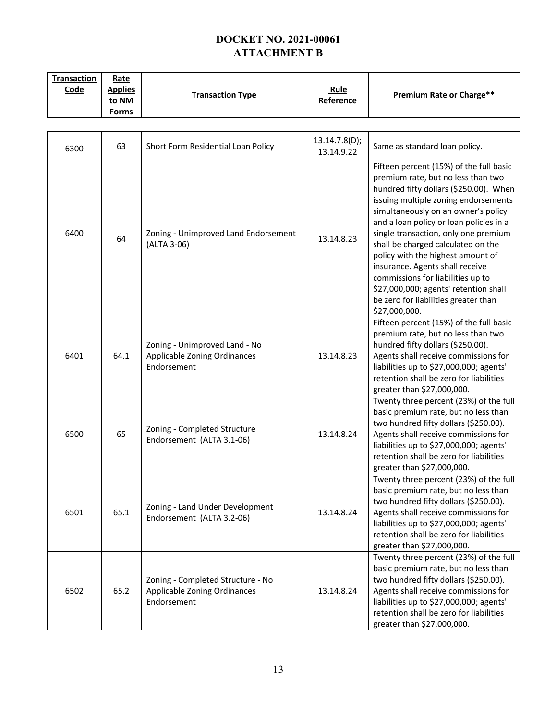| <b>Transaction</b><br>Code | Rate<br><b>Applies</b><br>to NM<br><b>Forms</b> | <b>Transaction Type</b>                                                          | Rule<br>Reference           | Premium Rate or Charge**                                                                                                                                                                                                                                                                                                                                                                                                                                                                                                                       |
|----------------------------|-------------------------------------------------|----------------------------------------------------------------------------------|-----------------------------|------------------------------------------------------------------------------------------------------------------------------------------------------------------------------------------------------------------------------------------------------------------------------------------------------------------------------------------------------------------------------------------------------------------------------------------------------------------------------------------------------------------------------------------------|
|                            |                                                 |                                                                                  |                             |                                                                                                                                                                                                                                                                                                                                                                                                                                                                                                                                                |
| 6300                       | 63                                              | Short Form Residential Loan Policy                                               | 13.14.7.8(D);<br>13.14.9.22 | Same as standard loan policy.                                                                                                                                                                                                                                                                                                                                                                                                                                                                                                                  |
| 6400                       | 64                                              | Zoning - Unimproved Land Endorsement<br>(ALTA 3-06)                              | 13.14.8.23                  | Fifteen percent (15%) of the full basic<br>premium rate, but no less than two<br>hundred fifty dollars (\$250.00). When<br>issuing multiple zoning endorsements<br>simultaneously on an owner's policy<br>and a loan policy or loan policies in a<br>single transaction, only one premium<br>shall be charged calculated on the<br>policy with the highest amount of<br>insurance. Agents shall receive<br>commissions for liabilities up to<br>\$27,000,000; agents' retention shall<br>be zero for liabilities greater than<br>\$27,000,000. |
| 6401                       | 64.1                                            | Zoning - Unimproved Land - No<br>Applicable Zoning Ordinances<br>Endorsement     | 13.14.8.23                  | Fifteen percent (15%) of the full basic<br>premium rate, but no less than two<br>hundred fifty dollars (\$250.00).<br>Agents shall receive commissions for<br>liabilities up to \$27,000,000; agents'<br>retention shall be zero for liabilities<br>greater than \$27,000,000.                                                                                                                                                                                                                                                                 |
| 6500                       | 65                                              | Zoning - Completed Structure<br>Endorsement (ALTA 3.1-06)                        | 13.14.8.24                  | Twenty three percent (23%) of the full<br>basic premium rate, but no less than<br>two hundred fifty dollars (\$250.00).<br>Agents shall receive commissions for<br>liabilities up to \$27,000,000; agents'<br>retention shall be zero for liabilities<br>greater than \$27,000,000.                                                                                                                                                                                                                                                            |
| 6501                       | 65.1                                            | Zoning - Land Under Development<br>Endorsement (ALTA 3.2-06)                     | 13.14.8.24                  | Twenty three percent (23%) of the full<br>basic premium rate, but no less than<br>two hundred fifty dollars (\$250.00).<br>Agents shall receive commissions for<br>liabilities up to \$27,000,000; agents'<br>retention shall be zero for liabilities<br>greater than \$27,000,000.                                                                                                                                                                                                                                                            |
| 6502                       | 65.2                                            | Zoning - Completed Structure - No<br>Applicable Zoning Ordinances<br>Endorsement | 13.14.8.24                  | Twenty three percent (23%) of the full<br>basic premium rate, but no less than<br>two hundred fifty dollars (\$250.00).<br>Agents shall receive commissions for<br>liabilities up to \$27,000,000; agents'<br>retention shall be zero for liabilities<br>greater than \$27,000,000.                                                                                                                                                                                                                                                            |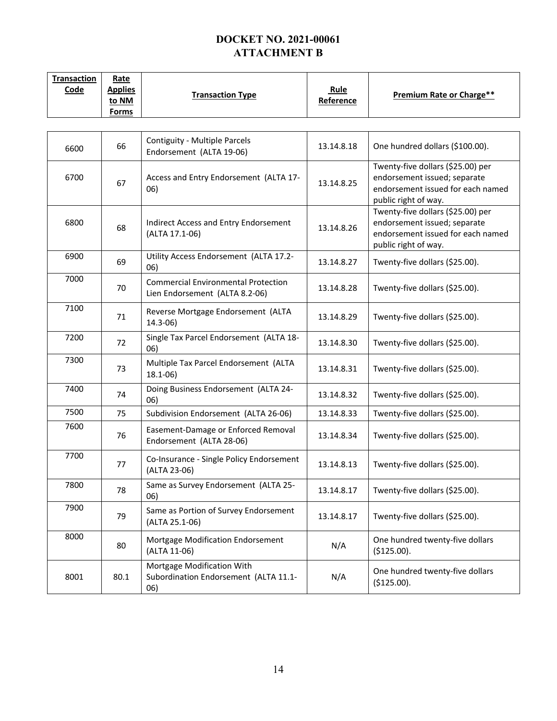| <b>Transaction</b><br>Code | Rate<br><b>Applies</b><br>to NM<br><b>Forms</b> | <b>Transaction Type</b>                                                      | Rule<br>Reference | Premium Rate or Charge**                                                                                                       |
|----------------------------|-------------------------------------------------|------------------------------------------------------------------------------|-------------------|--------------------------------------------------------------------------------------------------------------------------------|
|                            |                                                 |                                                                              |                   |                                                                                                                                |
| 6600                       | 66                                              | Contiguity - Multiple Parcels<br>Endorsement (ALTA 19-06)                    | 13.14.8.18        | One hundred dollars (\$100.00).                                                                                                |
| 6700                       | 67                                              | Access and Entry Endorsement (ALTA 17-<br>06)                                | 13.14.8.25        | Twenty-five dollars (\$25.00) per<br>endorsement issued; separate<br>endorsement issued for each named<br>public right of way. |
| 6800                       | 68                                              | Indirect Access and Entry Endorsement<br>(ALTA 17.1-06)                      | 13.14.8.26        | Twenty-five dollars (\$25.00) per<br>endorsement issued; separate<br>endorsement issued for each named<br>public right of way. |
| 6900                       | 69                                              | Utility Access Endorsement (ALTA 17.2-<br>06)                                | 13.14.8.27        | Twenty-five dollars (\$25.00).                                                                                                 |
| 7000                       | 70                                              | <b>Commercial Environmental Protection</b><br>Lien Endorsement (ALTA 8.2-06) | 13.14.8.28        | Twenty-five dollars (\$25.00).                                                                                                 |
| 7100                       | 71                                              | Reverse Mortgage Endorsement (ALTA<br>$14.3 - 06$                            | 13.14.8.29        | Twenty-five dollars (\$25.00).                                                                                                 |
| 7200                       | 72                                              | Single Tax Parcel Endorsement (ALTA 18-<br>06)                               | 13.14.8.30        | Twenty-five dollars (\$25.00).                                                                                                 |
| 7300                       | 73                                              | Multiple Tax Parcel Endorsement (ALTA<br>$18.1 - 06$                         | 13.14.8.31        | Twenty-five dollars (\$25.00).                                                                                                 |
| 7400                       | 74                                              | Doing Business Endorsement (ALTA 24-<br>06)                                  | 13.14.8.32        | Twenty-five dollars (\$25.00).                                                                                                 |
| 7500                       | 75                                              | Subdivision Endorsement (ALTA 26-06)                                         | 13.14.8.33        | Twenty-five dollars (\$25.00).                                                                                                 |
| 7600                       | 76                                              | Easement-Damage or Enforced Removal<br>Endorsement (ALTA 28-06)              | 13.14.8.34        | Twenty-five dollars (\$25.00).                                                                                                 |
| 7700                       | 77                                              | Co-Insurance - Single Policy Endorsement<br>(ALTA 23-06)                     | 13.14.8.13        | Twenty-five dollars (\$25.00).                                                                                                 |
| 7800                       | 78                                              | Same as Survey Endorsement (ALTA 25-<br>06)                                  | 13.14.8.17        | Twenty-five dollars (\$25.00).                                                                                                 |
| 7900                       | 79                                              | Same as Portion of Survey Endorsement<br>(ALTA 25.1-06)                      | 13.14.8.17        | Twenty-five dollars (\$25.00).                                                                                                 |
| 8000                       | 80                                              | Mortgage Modification Endorsement<br>(ALTA 11-06)                            | N/A               | One hundred twenty-five dollars<br>(\$125.00).                                                                                 |
| 8001                       | 80.1                                            | Mortgage Modification With<br>Subordination Endorsement (ALTA 11.1-<br>06)   | N/A               | One hundred twenty-five dollars<br>(\$125.00).                                                                                 |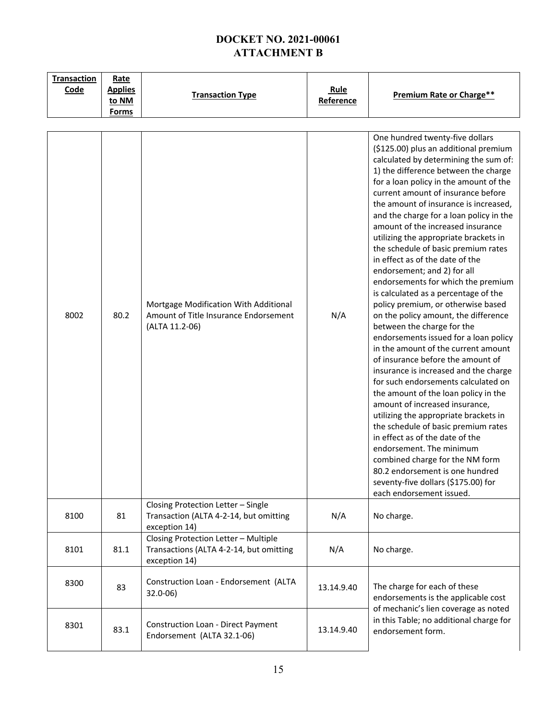| <b>Transaction</b><br>Code | Rate<br><b>Applies</b><br>to NM<br><b>Forms</b> | <b>Transaction Type</b>                                                                          | Rule<br>Reference | <b>Premium Rate or Charge**</b>                                                                                                                                                                                                                                                                                                                                                                                                                                                                                                                                                                                                                                                                                                                                                                                                                                                                                                                                                                                                                                                                                                                                                                                                                                                       |
|----------------------------|-------------------------------------------------|--------------------------------------------------------------------------------------------------|-------------------|---------------------------------------------------------------------------------------------------------------------------------------------------------------------------------------------------------------------------------------------------------------------------------------------------------------------------------------------------------------------------------------------------------------------------------------------------------------------------------------------------------------------------------------------------------------------------------------------------------------------------------------------------------------------------------------------------------------------------------------------------------------------------------------------------------------------------------------------------------------------------------------------------------------------------------------------------------------------------------------------------------------------------------------------------------------------------------------------------------------------------------------------------------------------------------------------------------------------------------------------------------------------------------------|
|                            |                                                 |                                                                                                  |                   |                                                                                                                                                                                                                                                                                                                                                                                                                                                                                                                                                                                                                                                                                                                                                                                                                                                                                                                                                                                                                                                                                                                                                                                                                                                                                       |
| 8002                       | 80.2                                            | Mortgage Modification With Additional<br>Amount of Title Insurance Endorsement<br>(ALTA 11.2-06) | N/A               | One hundred twenty-five dollars<br>(\$125.00) plus an additional premium<br>calculated by determining the sum of:<br>1) the difference between the charge<br>for a loan policy in the amount of the<br>current amount of insurance before<br>the amount of insurance is increased,<br>and the charge for a loan policy in the<br>amount of the increased insurance<br>utilizing the appropriate brackets in<br>the schedule of basic premium rates<br>in effect as of the date of the<br>endorsement; and 2) for all<br>endorsements for which the premium<br>is calculated as a percentage of the<br>policy premium, or otherwise based<br>on the policy amount, the difference<br>between the charge for the<br>endorsements issued for a loan policy<br>in the amount of the current amount<br>of insurance before the amount of<br>insurance is increased and the charge<br>for such endorsements calculated on<br>the amount of the loan policy in the<br>amount of increased insurance,<br>utilizing the appropriate brackets in<br>the schedule of basic premium rates<br>in effect as of the date of the<br>endorsement. The minimum<br>combined charge for the NM form<br>80.2 endorsement is one hundred<br>seventy-five dollars (\$175.00) for<br>each endorsement issued. |
| 8100                       | 81                                              | Closing Protection Letter - Single<br>Transaction (ALTA 4-2-14, but omitting<br>exception 14)    | N/A               | No charge.                                                                                                                                                                                                                                                                                                                                                                                                                                                                                                                                                                                                                                                                                                                                                                                                                                                                                                                                                                                                                                                                                                                                                                                                                                                                            |
| 8101                       | 81.1                                            | Closing Protection Letter - Multiple<br>Transactions (ALTA 4-2-14, but omitting<br>exception 14) | N/A               | No charge.                                                                                                                                                                                                                                                                                                                                                                                                                                                                                                                                                                                                                                                                                                                                                                                                                                                                                                                                                                                                                                                                                                                                                                                                                                                                            |
| 8300                       | 83                                              | Construction Loan - Endorsement (ALTA<br>$32.0 - 06$                                             | 13.14.9.40        | The charge for each of these<br>endorsements is the applicable cost                                                                                                                                                                                                                                                                                                                                                                                                                                                                                                                                                                                                                                                                                                                                                                                                                                                                                                                                                                                                                                                                                                                                                                                                                   |
| 8301                       | 83.1                                            | Construction Loan - Direct Payment<br>Endorsement (ALTA 32.1-06)                                 | 13.14.9.40        | of mechanic's lien coverage as noted<br>in this Table; no additional charge for<br>endorsement form.                                                                                                                                                                                                                                                                                                                                                                                                                                                                                                                                                                                                                                                                                                                                                                                                                                                                                                                                                                                                                                                                                                                                                                                  |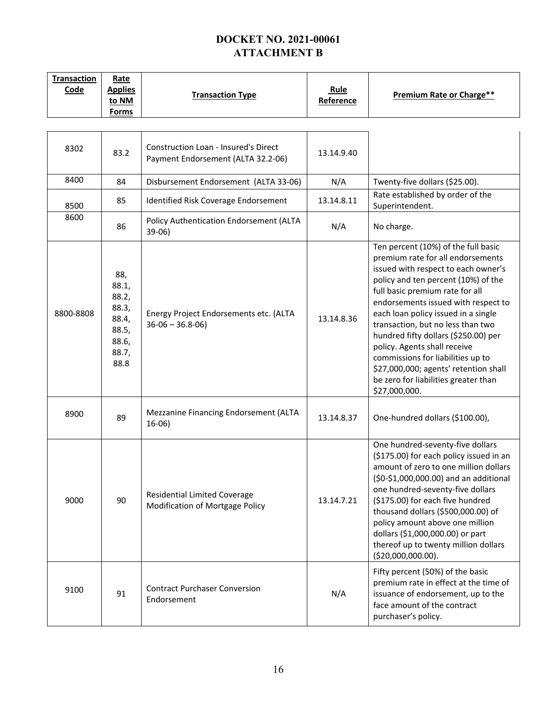| <b>Transaction</b><br>Code | Rate<br><b>Applies</b><br>to NM<br><b>Forms</b>                            | <b>Transaction Type</b>                                                    | Rule<br>Reference | <b>Premium Rate or Charge**</b>                                                                                                                                                                                                                                                                                                                                                                                                                                                                                             |
|----------------------------|----------------------------------------------------------------------------|----------------------------------------------------------------------------|-------------------|-----------------------------------------------------------------------------------------------------------------------------------------------------------------------------------------------------------------------------------------------------------------------------------------------------------------------------------------------------------------------------------------------------------------------------------------------------------------------------------------------------------------------------|
|                            |                                                                            |                                                                            |                   |                                                                                                                                                                                                                                                                                                                                                                                                                                                                                                                             |
| 8302                       | 83.2                                                                       | Construction Loan - Insured's Direct<br>Payment Endorsement (ALTA 32.2-06) | 13.14.9.40        |                                                                                                                                                                                                                                                                                                                                                                                                                                                                                                                             |
| 8400                       | 84                                                                         | Disbursement Endorsement (ALTA 33-06)                                      | N/A               | Twenty-five dollars (\$25.00).                                                                                                                                                                                                                                                                                                                                                                                                                                                                                              |
| 8500                       | 85                                                                         | Identified Risk Coverage Endorsement                                       | 13.14.8.11        | Rate established by order of the<br>Superintendent.                                                                                                                                                                                                                                                                                                                                                                                                                                                                         |
| 8600                       | 86                                                                         | Policy Authentication Endorsement (ALTA<br>$39-06$                         | N/A               | No charge.                                                                                                                                                                                                                                                                                                                                                                                                                                                                                                                  |
| 8800-8808                  | 88,<br>88.1,<br>88.2,<br>88.3,<br>88.4,<br>88.5,<br>88.6,<br>88.7,<br>88.8 | Energy Project Endorsements etc. (ALTA<br>$36-06 - 36.8-06$                | 13.14.8.36        | Ten percent (10%) of the full basic<br>premium rate for all endorsements<br>issued with respect to each owner's<br>policy and ten percent (10%) of the<br>full basic premium rate for all<br>endorsements issued with respect to<br>each loan policy issued in a single<br>transaction, but no less than two<br>hundred fifty dollars (\$250.00) per<br>policy. Agents shall receive<br>commissions for liabilities up to<br>\$27,000,000; agents' retention shall<br>be zero for liabilities greater than<br>\$27,000,000. |
| 8900                       | 89                                                                         | Mezzanine Financing Endorsement (ALTA<br>$16-06)$                          | 13.14.8.37        | One-hundred dollars (\$100.00),                                                                                                                                                                                                                                                                                                                                                                                                                                                                                             |
| 9000                       | 90                                                                         | <b>Residential Limited Coverage</b><br>Modification of Mortgage Policy     | 13.14.7.21        | One hundred-seventy-five dollars<br>(\$175.00) for each policy issued in an<br>amount of zero to one million dollars<br>(\$0-\$1,000,000.00) and an additional<br>one hundred-seventy-five dollars<br>(\$175.00) for each five hundred<br>thousand dollars (\$500,000.00) of<br>policy amount above one million<br>dollars (\$1,000,000.00) or part<br>thereof up to twenty million dollars<br>(\$20,000,000.00).                                                                                                           |
| 9100                       | 91                                                                         | <b>Contract Purchaser Conversion</b><br>Endorsement                        | N/A               | Fifty percent (50%) of the basic<br>premium rate in effect at the time of<br>issuance of endorsement, up to the<br>face amount of the contract<br>purchaser's policy.                                                                                                                                                                                                                                                                                                                                                       |